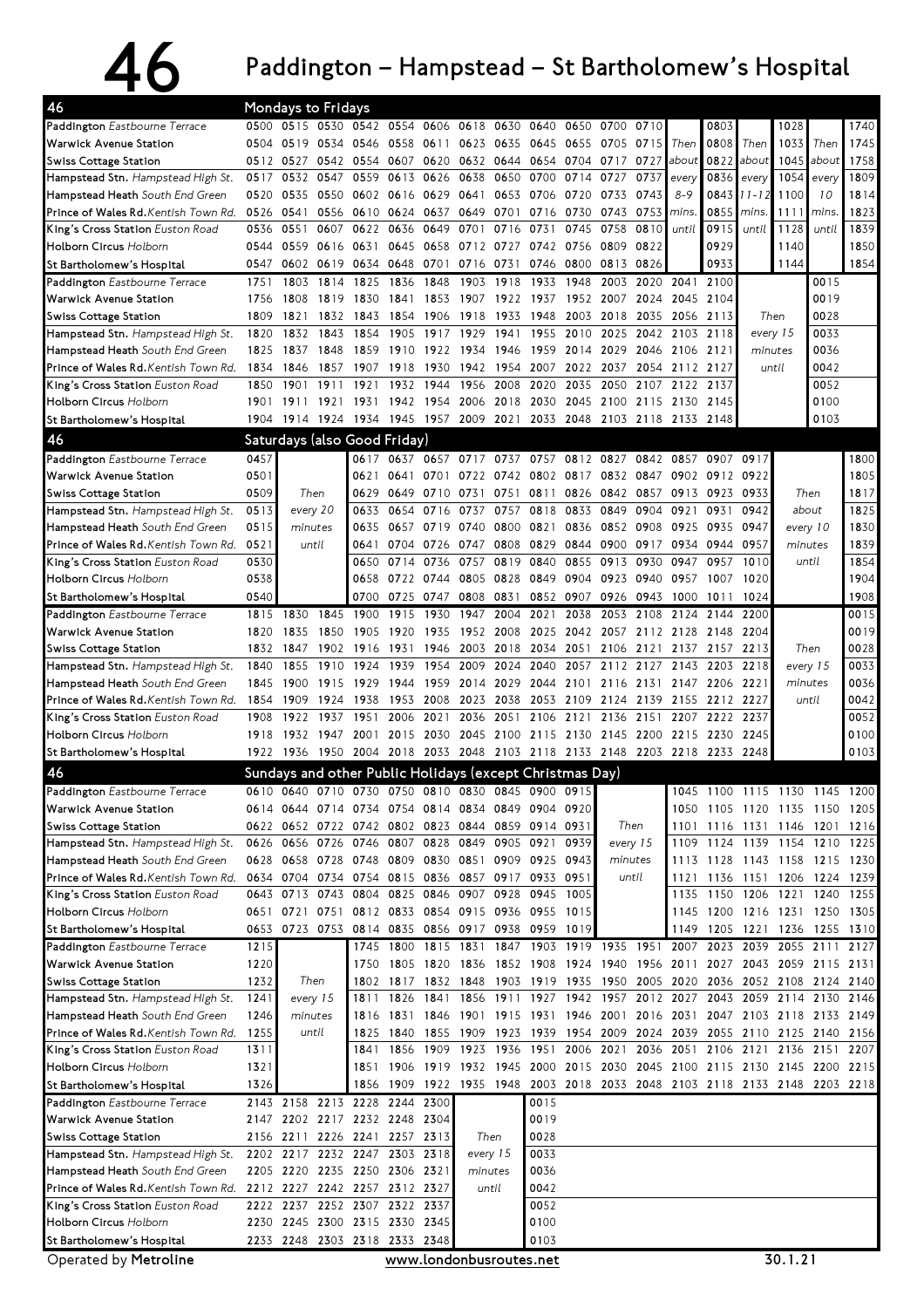## $46$  Paddington – Hampstead – St Bartholomew's Hospital

| 46                                                                       |              | <b>Mondays to Fridays</b>                                      |              |                                              |              |                   |                |                     |                                                                            |              |                     |                   |                          |              |                                                           |                  |                |              |
|--------------------------------------------------------------------------|--------------|----------------------------------------------------------------|--------------|----------------------------------------------|--------------|-------------------|----------------|---------------------|----------------------------------------------------------------------------|--------------|---------------------|-------------------|--------------------------|--------------|-----------------------------------------------------------|------------------|----------------|--------------|
| Paddington Eastbourne Terrace                                            |              | 0500 0515 0530                                                 |              | 0542 0554                                    |              | 0606              | 0618           | 0630                | 0640                                                                       | 0650         | 0700                | 0710              |                          | 0803         |                                                           | 1028             |                | 1740         |
| <b>Warwick Avenue Station</b>                                            | 0504         | 0519                                                           | 0534         | 0546                                         | 0558         | 0611              | 0623           | 0635                | 0645                                                                       | 0655         | 0705                | 0715              | Then                     | 0808         | Then                                                      | 1033             | Then           | 1745         |
| Swiss Cottage Station                                                    | 0512 0527    |                                                                | 0542 0554    |                                              | 0607         |                   | 0620 0632      | 0644                | 0654                                                                       | 0704         | 0717                | 0727              | about                    | 0822         | about                                                     | 1045             | about          | 1758         |
| Hampstead Stn. Hampstead High St.                                        | 0517         | 0532                                                           | 0547         | 0559                                         | 0613         | 0626              | 0638           | 0650                | 0700                                                                       | 0714         | 0727                | 0737              | every                    | 0836         | every                                                     | 1054             | every          | 1809         |
| Hampstead Heath South End Green                                          | 0520         | 0535                                                           | 0550         | 0602                                         | 0616         | 0629              | 0641           | 0653                | 0706                                                                       | 0720         | 0733                | 0743              | $8 - 9$                  | 0843         | 11-12                                                     | 1100             | 10             | 1814         |
| Prince of Wales Rd. Kentish Town Rd.<br>King's Cross Station Euston Road | 0526<br>0536 | 0541<br>0551                                                   | 0607         | 0556 0610<br>0622                            | 0636         | 0624 0637<br>0649 | 0649<br>0701   | 0701<br>0716        | 0716<br>0731                                                               | 0730<br>0745 | 0743<br>0758        | 0753<br>0810      | mins.<br>until           | 0855<br>0915 | mins.<br>until                                            | 1111<br>1128     | mins.<br>until | 1823<br>1839 |
| <b>Holborn Circus Holborn</b>                                            | 0544         | 0559                                                           | 0616         | 0631                                         | 0645         | 0658              | 0712           | 0727                | 0742                                                                       | 0756         | 0809                | 0822              |                          | 0929         |                                                           | 1140             |                | 1850         |
| St Bartholomew's Hospital                                                | 0547         | 0602                                                           | 0619         | 0634                                         | 0648         | 0701              | 0716           | 0731                | 0746                                                                       | 0800         | 0813                | 0826              |                          | 0933         |                                                           | 1144             |                | 1854         |
| Paddington Eastbourne Terrace                                            | 1751         | 1803                                                           | 1814         | 1825                                         | 1836         | 1848              | 1903           | 1918                | 1933                                                                       | 1948         | 2003                | 2020              | 2041                     | 2100         |                                                           |                  | 0015           |              |
| <b>Warwick Avenue Station</b>                                            | 1756         | 1808                                                           | 1819         | 1830                                         | 1841         | 1853              | 1907           | 1922                | 1937                                                                       | 1952         | 2007                | 2024              | 2045                     | 2104         |                                                           |                  | 0019           |              |
| <b>Swiss Cottage Station</b>                                             | 1809         | 1821                                                           | 1832         | 1843                                         | 1854         | 1906              | 1918           | 1933                | 1948                                                                       | 2003         | 2018                | 2035              | 2056                     | 2113         | Then                                                      |                  | 0028           |              |
| Hampstead Stn. Hampstead High St.                                        | 1820         | 1832                                                           | 1843         | 1854                                         | 1905         | 1917              | 1929           | 1941                | 1955                                                                       | 2010         | 2025                | 2042              | 2103                     | 2118         |                                                           | 0033<br>every 15 |                |              |
| Hampstead Heath South End Green                                          | 1825         | 1837                                                           | 1848         | 1859                                         | 1910         | 1922              | 1934           | 1946                | 1959                                                                       | 2014         | 2029                | 2046              | 2106                     | 2121         |                                                           | 0036<br>minutes  |                |              |
| Prince of Wales Rd. Kentish Town Rd.                                     | 1834         | 1846                                                           | 1857         | 1907                                         | 1918         | 1930              | 1942           | 1954                | 2007                                                                       | 2022         | 2037                |                   | 2054 2112 2127           |              | until                                                     |                  | 0042           |              |
| King's Cross Station Euston Road                                         | 1850         | 1901                                                           | 1911         | 1921                                         | 1932<br>1942 | 1944<br>1954      | 1956<br>2006   | 2008<br>2018        | 2020                                                                       | 2035<br>2045 | 2050<br>2100        | 2107              | 2122                     | 2137         |                                                           |                  | 0052<br>0100   |              |
| <b>Holborn Circus Holborn</b><br>St Bartholomew's Hospital               | 1901         | 1911<br>1904 1914 1924                                         | 1921         | 1931<br>1934 1945 1957 2009                  |              |                   |                | 2021                | 2030<br>2033 2048                                                          |              | 2103 2118 2133      | 2115              | 2130                     | 2145<br>2148 |                                                           |                  | 0103           |              |
|                                                                          |              |                                                                |              |                                              |              |                   |                |                     |                                                                            |              |                     |                   |                          |              |                                                           |                  |                |              |
| 46<br>Paddington Eastbourne Terrace                                      | 0457         |                                                                |              | Saturdays (also Good Friday)<br>0617         | 0637         |                   | 0657 0717      | 0737                | 0757 0812 0827                                                             |              |                     |                   | 0842 0857                | 0907         | 0917                                                      |                  |                | 1800         |
| Warwick Avenue Station                                                   | 0501         |                                                                |              | 0621                                         | 0641         | 0701              | 0722           |                     | 0742 0802 0817 0832 0847                                                   |              |                     |                   | 0902                     | 0912         | 0922                                                      |                  |                | 1805         |
| <b>Swiss Cottage Station</b>                                             | 0509         | Then                                                           |              | 0629                                         | 0649         | 0710              | 0731           | 0751                | 0811                                                                       | 0826         | 0842                | 0857              | 0913                     | 0923         | 0933                                                      | Then             |                | 1817         |
| Hampstead Stn. Hampstead High St.                                        | 0513         | every 20                                                       |              | 0633                                         | 0654         | 0716              | 0737           | 0757                | 0818                                                                       | 0833         | 0849                | 0904              | 0921                     | 0931         | 0942                                                      | about            |                | 1825         |
| Hampstead Heath South End Green                                          | 0515         | minutes                                                        |              | 0635                                         |              | 0657 0719         | 0740           | 0800                | 0821                                                                       | 0836         | 0852 0908           |                   | 0925                     | 0935         | 0947                                                      | every 10         |                | 1830         |
| Prince of Wales Rd. Kentish Town Rd.                                     | 0521         | until                                                          |              | 0641                                         | 0704         | 0726              | 0747           | 0808                | 0829                                                                       | 0844         | 0900                | 0917              | 0934                     | 0944         | 0957                                                      | minutes          |                | 1839         |
| King's Cross Station Euston Road                                         | 0530         |                                                                |              | 0650                                         | 0714         | 0736              | 0757           | 0819                | 0840                                                                       | 0855         | 0913                | 0930              | 0947                     | 0957         | 1010                                                      | until            |                | 1854         |
| <b>Holborn Circus Holborn</b>                                            | 0538         |                                                                |              | 0658                                         |              | 0722 0744         | 0805           | 0828                | 0849                                                                       | 0904         | 0923                | 0940              | 0957                     | 1007         | 1020                                                      |                  |                | 1904         |
| St Bartholomew's Hospital                                                | 0540         |                                                                |              | 0700                                         | 0725         | 0747              | 0808           | 0831                | 0852                                                                       | 0907         | 0926                | 0943              | 1000                     | 1011         | 1024                                                      |                  |                | 1908         |
| Paddington Eastbourne Terrace                                            | 1815         | 1830                                                           | 1845<br>1850 | 1900                                         | 1915         | 1930              | 1947           | 2004                | 2021<br>2025                                                               | 2038<br>2042 | 2053                | 2108              | 2124                     | 2144         | 2200<br>2204                                              |                  |                | 0015<br>0019 |
| <b>Warwick Avenue Station</b><br>Swiss Cottage Station                   | 1820         | 1835<br>1832 1847                                              | 1902         | 1905<br>1916                                 | 1920<br>1931 | 1935<br>1946      | 1952<br>2003   | 2008<br>2018        | 2034                                                                       | 2051         | 2057<br>2106        | 2112 2128<br>2121 | 2137                     | 2148<br>2157 | 2213                                                      | Then             |                | 0028         |
| Hampstead Stn. Hampstead High St.                                        | 1840         | 1855                                                           | 1910         | 1924                                         | 1939         | 1954              | 2009           | 2024                | 2040                                                                       | 2057         | 2112                | 2127              | 2143                     | 2203         | 2218                                                      | every 15         |                | 0033         |
| Hampstead Heath South End Green                                          | 1845         | 1900                                                           | 1915         | 1929                                         | 1944         | 1959              | 2014           | 2029                | 2044                                                                       | 2101         | 2116                | 2131              | 2147                     | 2206         | 2221                                                      | minutes          |                | 0036         |
| Prince of Wales Rd. Kentish Town Rd.                                     | 1854         | 1909                                                           | 1924         | 1938                                         | 1953         | 2008              | 2023           | 2038                | 2053                                                                       | 2109         | 2124                | 2139              | 2155                     | 2212         | 2227                                                      | until            |                | 0042         |
| King's Cross Station Euston Road                                         | 1908         | 1922                                                           | 1937         | 1951                                         | 2006         | 2021              | 2036           | 2051                | 2106                                                                       | 2121         | 2136                | 2151              | 2207                     | 2222         | 2237                                                      |                  |                | 0052         |
| <b>Holborn Circus Holborn</b>                                            | 1918         | 1932 1947 2001                                                 |              |                                              |              | 2015 2030 2045    |                |                     | 2100 2115 2130                                                             |              | 2145 2200 2215      |                   |                          | 2230         | 2245                                                      |                  |                | 0100         |
| St Bartholomew's Hospital                                                |              |                                                                |              |                                              |              |                   |                |                     | 1922 1936 1950 2004 2018 2033 2048 2103 2118 2133 2148 2203 2218 2233 2248 |              |                     |                   |                          |              |                                                           |                  |                | 0103         |
| 46                                                                       |              |                                                                |              |                                              |              |                   |                |                     | Sundays and other Public Holidays (except Christmas Day)                   |              |                     |                   |                          |              |                                                           |                  |                |              |
| Paddington Eastbourne Terrace                                            |              |                                                                |              |                                              |              |                   |                |                     | 0610 0640 0710 0730 0750 0810 0830 0845 0900 0915                          |              |                     |                   |                          |              | 1045 1100 1115 1130 1145 1200                             |                  |                |              |
| Warwick Avenue Station                                                   |              |                                                                |              |                                              |              |                   |                |                     | 0614 0644 0714 0734 0754 0814 0834 0849 0904 0920                          |              |                     |                   |                          |              | 1050 1105 1120 1135 1150 1205                             |                  |                |              |
| <b>Swiss Cottage Station</b>                                             |              |                                                                |              | 0622 0652 0722 0742 0802 0823 0844           |              |                   |                |                     | 0859 0914 0931                                                             |              | Then                |                   |                          |              | 1101 1116 1131 1146 1201 1216                             |                  |                |              |
| Hampstead Stn. Hampstead High St.<br>Hampstead Heath South End Green     |              | 0626 0656 0726 0746<br>0628 0658 0728 0748                     |              |                                              | 0807         | 0828 0849         | 0809 0830 0851 | 0905 0921           | 0909 0925 0943                                                             | 0939         | every 15<br>minutes |                   | 1109<br>1113             |              | 1124 1139 1154 1210<br>1128 1143 1158 1215 1230           |                  |                | 1225         |
| Prince of Wales Rd. Kentish Town Rd.                                     |              | 0634 0704 0734                                                 |              | 0754                                         |              | 0815 0836 0857    |                |                     | 0917 0933 0951                                                             |              | until               |                   | 1121                     |              | 1136 1151 1206                                            |                  | 1224 1239      |              |
| King's Cross Station Euston Road                                         |              | 0643 0713 0743 0804                                            |              |                                              |              | 0825 0846         | 0907           | 0928                | 0945                                                                       | 1005         |                     |                   | 1135                     |              | 1150 1206 1221 1240                                       |                  |                | 1255         |
| <b>Holborn Circus Holborn</b>                                            |              |                                                                |              | 0651 0721 0751 0812 0833 0854 0915           |              |                   |                |                     | 0936 0955 1015                                                             |              |                     |                   | 1145                     |              | 1200 1216 1231 1250 1305                                  |                  |                |              |
| St Bartholomew's Hospital                                                |              |                                                                |              | 0653 0723 0753 0814 0835 0856 0917 0938 0959 |              |                   |                |                     |                                                                            | 1019         |                     |                   | 1149                     |              | 1205 1221 1236 1255 1310                                  |                  |                |              |
| Paddington Eastbourne Terrace                                            | 1215         |                                                                |              | 1745                                         |              |                   |                |                     | 1800 1815 1831 1847 1903 1919 1935 1951 2007 2023 2039 2055 2111           |              |                     |                   |                          |              |                                                           |                  |                | 2127         |
| Warwick Avenue Station                                                   | 1220         |                                                                |              | 1750                                         |              | 1805 1820 1836    |                |                     | 1852 1908 1924 1940 1956 2011 2027 2043 2059 2115 2131                     |              |                     |                   |                          |              |                                                           |                  |                |              |
| Swiss Cottage Station                                                    | 1232         | Then                                                           |              | 1802                                         |              | 1817 1832 1848    |                |                     | 1903 1919 1935 1950 2005 2020 2036 2052 2108 2124 2140                     |              |                     |                   |                          |              |                                                           |                  |                |              |
| Hampstead Stn. Hampstead High St.                                        | 1241         | every 15                                                       |              | 1811                                         | 1826         | 1841              | 1856           | 1911 1927           |                                                                            | 1942         | 1957                |                   | 2012 2027                | 2043         | 2059 2114 2130                                            |                  |                | 2146         |
| Hampstead Heath South End Green<br>Prince of Wales Rd. Kentish Town Rd.  | 1246<br>1255 | minutes<br>until                                               |              | 1816<br>1825                                 | 1840         | 1855 1909         |                |                     | 1831 1846 1901 1915 1931<br>1923 1939                                      |              |                     |                   | 1954 2009 2024 2039 2055 |              | 1946 2001 2016 2031 2047 2103 2118 2133<br>2110 2125 2140 |                  |                | 2149<br>2156 |
| King's Cross Station Euston Road                                         | 1311         |                                                                |              | 1841                                         |              | 1856 1909 1923    |                |                     | 1936 1951                                                                  | 2006         | 2021                |                   | 2036 2051 2106           |              | 2121 2136 2151                                            |                  |                | 2207         |
| <b>Holborn Circus Holborn</b>                                            | 1321         |                                                                |              | 1851                                         |              |                   |                |                     | 1906 1919 1932 1945 2000 2015 2030 2045 2100 2115 2130 2145 2200           |              |                     |                   |                          |              |                                                           |                  |                | 2215         |
| St Bartholomew's Hospital                                                | 1326         |                                                                |              | 1856                                         |              |                   |                |                     | 1909 1922 1935 1948 2003 2018 2033 2048 2103 2118 2133 2148 2203 2218      |              |                     |                   |                          |              |                                                           |                  |                |              |
| Paddington Eastbourne Terrace                                            |              |                                                                |              | 2143 2158 2213 2228 2244 2300                |              |                   |                |                     | 0015                                                                       |              |                     |                   |                          |              |                                                           |                  |                |              |
| Warwick Avenue Station                                                   |              |                                                                |              | 2147 2202 2217 2232 2248 2304                |              |                   |                |                     | 0019                                                                       |              |                     |                   |                          |              |                                                           |                  |                |              |
| Swiss Cottage Station                                                    |              | 2156 2211 2226 2241 2257 2313                                  |              |                                              |              |                   | Then           |                     | 0028<br>0033                                                               |              |                     |                   |                          |              |                                                           |                  |                |              |
| Hampstead Stn. Hampstead High St.                                        |              | 2202 2217 2232 2247 2303 2318<br>2205 2220 2235 2250 2306 2321 |              |                                              |              |                   |                | every 15<br>minutes |                                                                            |              |                     |                   |                          |              |                                                           |                  |                |              |
| Hampstead Heath South End Green<br>Prince of Wales Rd. Kentish Town Rd.  |              |                                                                |              | 2212 2227 2242 2257 2312 2327                |              |                   |                | until               | 0036<br>0042                                                               |              |                     |                   |                          |              |                                                           |                  |                |              |
| King's Cross Station Euston Road                                         |              |                                                                |              | 2222 2237 2252 2307 2322 2337                |              |                   |                |                     | 0052                                                                       |              |                     |                   |                          |              |                                                           |                  |                |              |
| <b>Holborn Circus Holborn</b>                                            |              |                                                                |              | 2230 2245 2300 2315 2330 2345                |              |                   |                |                     | 0100                                                                       |              |                     |                   |                          |              |                                                           |                  |                |              |
| St Bartholomew's Hospital                                                |              |                                                                |              | 2233 2248 2303 2318 2333 2348                |              |                   |                |                     | 0103                                                                       |              |                     |                   |                          |              |                                                           |                  |                |              |
| Operated by Metroline                                                    |              |                                                                |              |                                              |              |                   |                |                     | www.londonbusroutes.net                                                    |              |                     |                   |                          |              |                                                           | 30.1.21          |                |              |